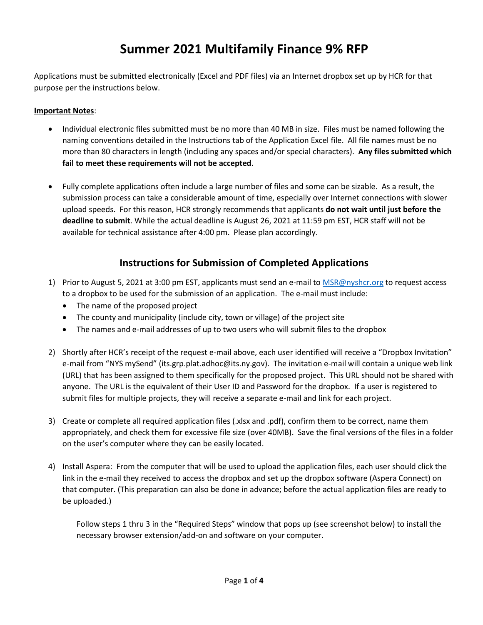## **Summer 2021 Multifamily Finance 9% RFP**

Applications must be submitted electronically (Excel and PDF files) via an Internet dropbox set up by HCR for that purpose per the instructions below.

## **Important Notes**:

- Individual electronic files submitted must be no more than 40 MB in size. Files must be named following the naming conventions detailed in the Instructions tab of the Application Excel file. All file names must be no more than 80 characters in length (including any spaces and/or special characters). **Any files submitted which fail to meet these requirements will not be accepted**.
- Fully complete applications often include a large number of files and some can be sizable. As a result, the submission process can take a considerable amount of time, especially over Internet connections with slower upload speeds. For this reason, HCR strongly recommends that applicants **do not wait until just before the deadline to submit**. While the actual deadline is August 26, 2021 at 11:59 pm EST, HCR staff will not be available for technical assistance after 4:00 pm. Please plan accordingly.

## **Instructions for Submission of Completed Applications**

- 1) Prior to August 5, 2021 at 3:00 pm EST, applicants must send an e-mail to [MSR@nyshcr.org](mailto:MSR@nyshcr.org) to request access to a dropbox to be used for the submission of an application. The e-mail must include:
	- The name of the proposed project
	- The county and municipality (include city, town or village) of the project site
	- The names and e-mail addresses of up to two users who will submit files to the dropbox
- 2) Shortly after HCR's receipt of the request e-mail above, each user identified will receive a "Dropbox Invitation" e-mail from "NYS mySend" (its.grp.plat.adhoc@its.ny.gov). The invitation e-mail will contain a unique web link (URL) that has been assigned to them specifically for the proposed project. This URL should not be shared with anyone. The URL is the equivalent of their User ID and Password for the dropbox. If a user is registered to submit files for multiple projects, they will receive a separate e-mail and link for each project.
- 3) Create or complete all required application files (.xlsx and .pdf), confirm them to be correct, name them appropriately, and check them for excessive file size (over 40MB). Save the final versions of the files in a folder on the user's computer where they can be easily located.
- 4) Install Aspera: From the computer that will be used to upload the application files, each user should click the link in the e-mail they received to access the dropbox and set up the dropbox software (Aspera Connect) on that computer. (This preparation can also be done in advance; before the actual application files are ready to be uploaded.)

Follow steps 1 thru 3 in the "Required Steps" window that pops up (see screenshot below) to install the necessary browser extension/add-on and software on your computer.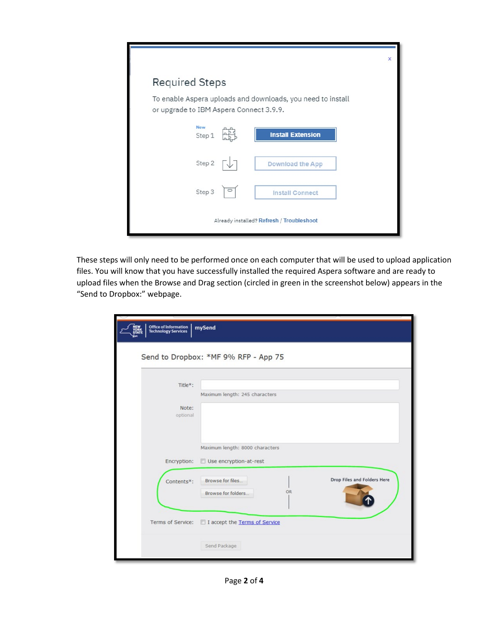|                                           |  |                                                             | $\mathbf x$ |  |  |  |
|-------------------------------------------|--|-------------------------------------------------------------|-------------|--|--|--|
| <b>Required Steps</b>                     |  |                                                             |             |  |  |  |
| or upgrade to IBM Aspera Connect 3.9.9.   |  | To enable Aspera uploads and downloads, you need to install |             |  |  |  |
| <b>New</b><br>Step 1                      |  | <b>Install Extension</b>                                    |             |  |  |  |
| Step 2                                    |  | <b>Download the App</b>                                     |             |  |  |  |
| Step 3                                    |  | <b>Install Connect</b>                                      |             |  |  |  |
| Already installed? Refresh / Troubleshoot |  |                                                             |             |  |  |  |

These steps will only need to be performed once on each computer that will be used to upload application files. You will know that you have successfully installed the required Aspera software and are ready to upload files when the Browse and Drag section (circled in green in the screenshot below) appears in the "Send to Dropbox:" webpage.

| Title*:           | Maximum length: 245 characters                            |                             |
|-------------------|-----------------------------------------------------------|-----------------------------|
| Note:<br>optional |                                                           |                             |
| Encryption:       | Maximum length: 8000 characters<br>Use encryption-at-rest |                             |
| Contents*:        | Browse for files<br><b>OR</b>                             | Drop Files and Folders Here |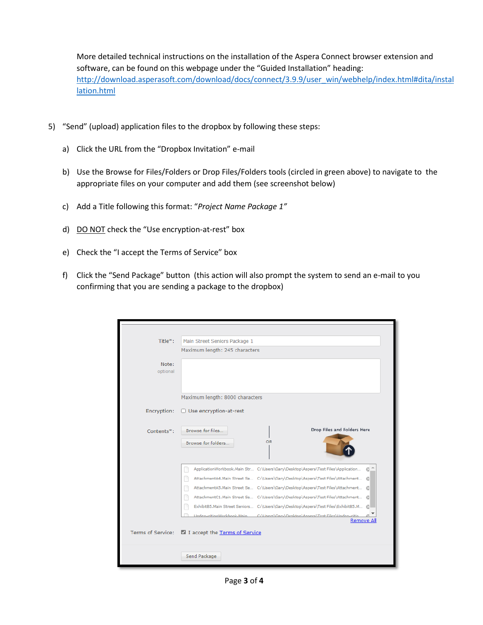More detailed technical instructions on the installation of the Aspera Connect browser extension and software, can be found on this webpage under the "Guided Installation" heading: [http://download.asperasoft.com/download/docs/connect/3.9.9/user\\_win/webhelp/index.html#dita/instal](http://download.asperasoft.com/download/docs/connect/3.9.9/user_win/webhelp/index.html#dita/installation.html) [lation.html](http://download.asperasoft.com/download/docs/connect/3.9.9/user_win/webhelp/index.html#dita/installation.html)

- 5) "Send" (upload) application files to the dropbox by following these steps:
	- a) Click the URL from the "Dropbox Invitation" e-mail
	- b) Use the Browse for Files/Folders or Drop Files/Folders tools (circled in green above) to navigate to the appropriate files on your computer and add them (see screenshot below)
	- c) Add a Title following this format: "*Project Name Package 1"*
	- d) DO NOT check the "Use encryption-at-rest" box
	- e) Check the "I accept the Terms of Service" box
	- f) Click the "Send Package" button (this action will also prompt the system to send an e-mail to you confirming that you are sending a package to the dropbox)

| Title*:           | Main Street Seniors Package 1                                                                                                                                        |
|-------------------|----------------------------------------------------------------------------------------------------------------------------------------------------------------------|
|                   | Maximum length: 245 characters                                                                                                                                       |
| Note:             |                                                                                                                                                                      |
| optional          |                                                                                                                                                                      |
|                   |                                                                                                                                                                      |
|                   | Maximum length: 8000 characters                                                                                                                                      |
|                   |                                                                                                                                                                      |
| Encryption:       | □ Use encryption-at-rest                                                                                                                                             |
| Contents*:        | Drop Files and Folders Here<br>Browse for files                                                                                                                      |
|                   | OR.                                                                                                                                                                  |
|                   | Browse for folders                                                                                                                                                   |
|                   |                                                                                                                                                                      |
|                   | ApplicationWorkbook.Main Str C:\Users\Gary\Desktop\Aspera\Test Files\Application<br>a <sup>1</sup>                                                                   |
|                   | AttachmentA4.Main Street Se C:\Users\Gary\Desktop\Aspera\Test Files\Attachment @                                                                                     |
|                   | AttachmentA5.Main Street Se C:\Users\Gary\Desktop\Aspera\Test Files\Attachment @                                                                                     |
|                   | AttachmentC1.Main Street Se C:\Users\Gary\Desktop\Aspera\Test Files\Attachment @                                                                                     |
|                   | ExhibitB5.Main Street Seniors C:\Users\Gary\Desktop\Aspera\Test Files\ExhibitB5.M @<br>UnderwritingWorkhook.Main C:\Users\Gary\Deskton\Aspera\Test_Eiles\Underwritin |
|                   | Remove All                                                                                                                                                           |
| Terms of Service: | I accept the Terms of Service                                                                                                                                        |
|                   |                                                                                                                                                                      |
|                   | Send Package                                                                                                                                                         |
|                   |                                                                                                                                                                      |

Page **3** of **4**